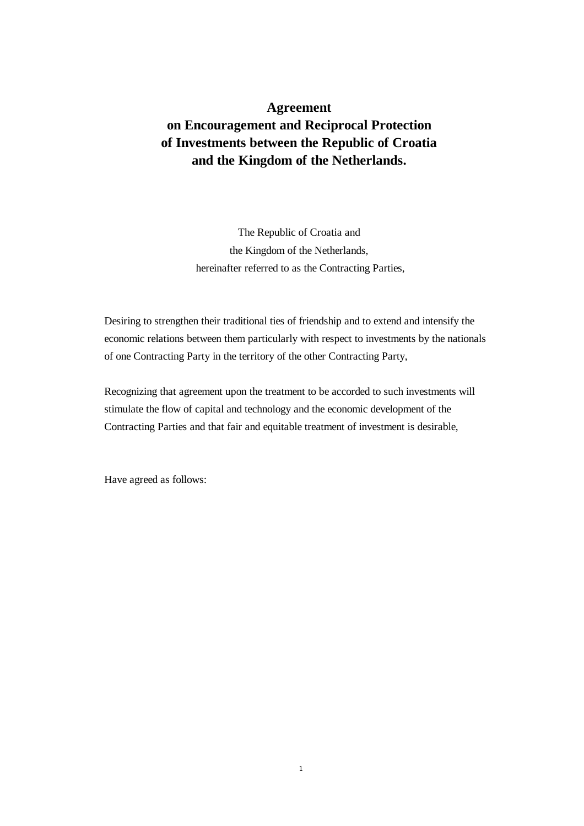# **Agreement on Encouragement and Reciprocal Protection of Investments between the Republic of Croatia and the Kingdom of the Netherlands.**

The Republic of Croatia and the Kingdom of the Netherlands, hereinafter referred to as the Contracting Parties,

Desiring to strengthen their traditional ties of friendship and to extend and intensify the economic relations between them particularly with respect to investments by the nationals of one Contracting Party in the territory of the other Contracting Party,

Recognizing that agreement upon the treatment to be accorded to such investments will stimulate the flow of capital and technology and the economic development of the Contracting Parties and that fair and equitable treatment of investment is desirable,

Have agreed as follows: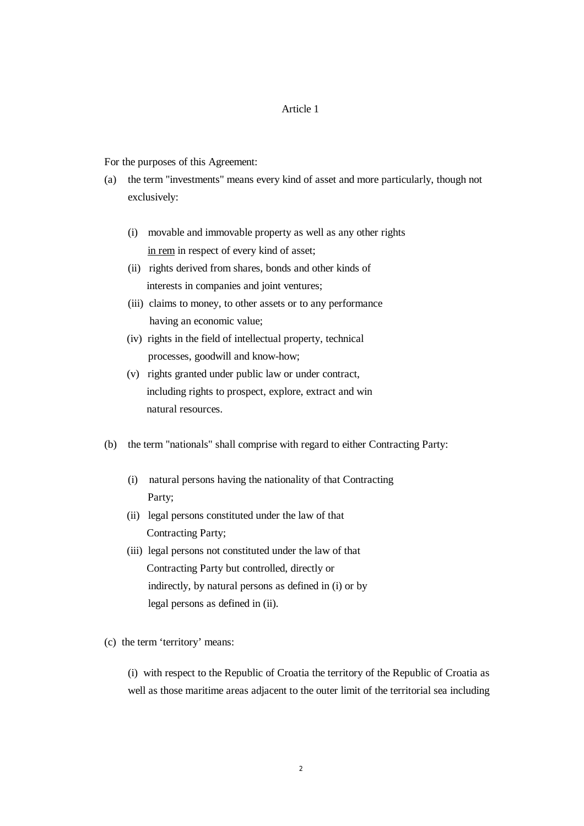For the purposes of this Agreement:

- (a) the term "investments" means every kind of asset and more particularly, though not exclusively:
	- (i) movable and immovable property as well as any other rights in rem in respect of every kind of asset;
	- (ii) rights derived from shares, bonds and other kinds of interests in companies and joint ventures;
	- (iii) claims to money, to other assets or to any performance having an economic value;
	- (iv) rights in the field of intellectual property, technical processes, goodwill and know-how;
	- (v) rights granted under public law or under contract, including rights to prospect, explore, extract and win natural resources.
- (b) the term "nationals" shall comprise with regard to either Contracting Party:
	- (i) natural persons having the nationality of that Contracting Party;
	- (ii) legal persons constituted under the law of that Contracting Party;
	- (iii) legal persons not constituted under the law of that Contracting Party but controlled, directly or indirectly, by natural persons as defined in (i) or by legal persons as defined in (ii).

(c) the term 'territory' means:

(i) with respect to the Republic of Croatia the territory of the Republic of Croatia as well as those maritime areas adjacent to the outer limit of the territorial sea including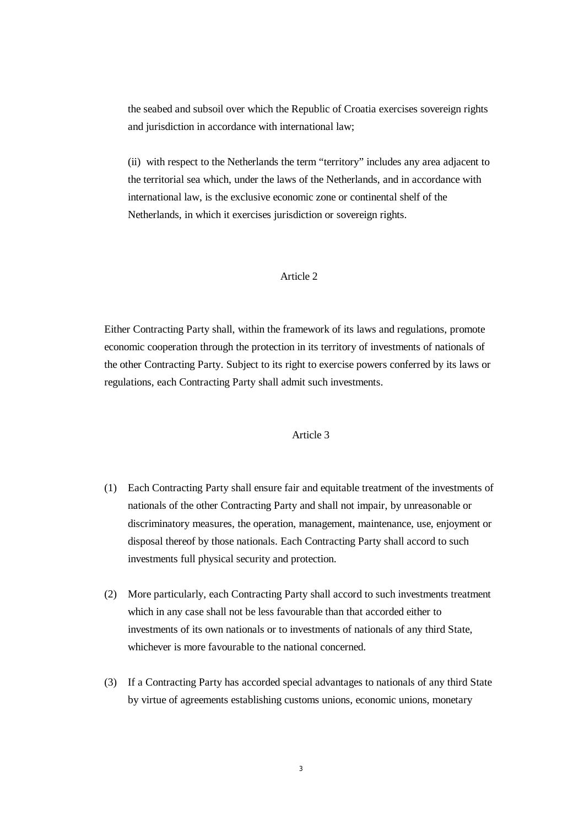the seabed and subsoil over which the Republic of Croatia exercises sovereign rights and jurisdiction in accordance with international law;

(ii) with respect to the Netherlands the term "territory" includes any area adjacent to the territorial sea which, under the laws of the Netherlands, and in accordance with international law, is the exclusive economic zone or continental shelf of the Netherlands, in which it exercises jurisdiction or sovereign rights.

## Article 2

Either Contracting Party shall, within the framework of its laws and regulations, promote economic cooperation through the protection in its territory of investments of nationals of the other Contracting Party. Subject to its right to exercise powers conferred by its laws or regulations, each Contracting Party shall admit such investments.

# Article 3

- (1) Each Contracting Party shall ensure fair and equitable treatment of the investments of nationals of the other Contracting Party and shall not impair, by unreasonable or discriminatory measures, the operation, management, maintenance, use, enjoyment or disposal thereof by those nationals. Each Contracting Party shall accord to such investments full physical security and protection.
- (2) More particularly, each Contracting Party shall accord to such investments treatment which in any case shall not be less favourable than that accorded either to investments of its own nationals or to investments of nationals of any third State, whichever is more favourable to the national concerned.
- (3) If a Contracting Party has accorded special advantages to nationals of any third State by virtue of agreements establishing customs unions, economic unions, monetary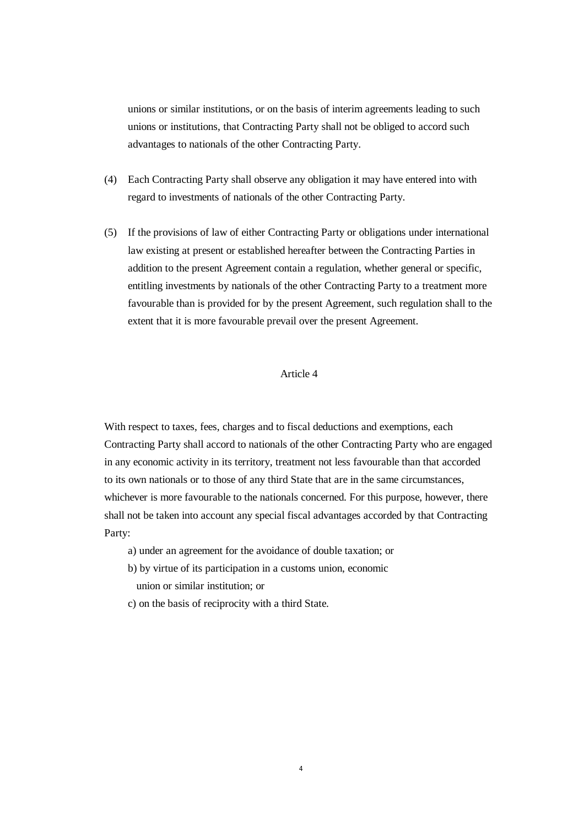unions or similar institutions, or on the basis of interim agreements leading to such unions or institutions, that Contracting Party shall not be obliged to accord such advantages to nationals of the other Contracting Party.

- (4) Each Contracting Party shall observe any obligation it may have entered into with regard to investments of nationals of the other Contracting Party.
- (5) If the provisions of law of either Contracting Party or obligations under international law existing at present or established hereafter between the Contracting Parties in addition to the present Agreement contain a regulation, whether general or specific, entitling investments by nationals of the other Contracting Party to a treatment more favourable than is provided for by the present Agreement, such regulation shall to the extent that it is more favourable prevail over the present Agreement.

# Article 4

With respect to taxes, fees, charges and to fiscal deductions and exemptions, each Contracting Party shall accord to nationals of the other Contracting Party who are engaged in any economic activity in its territory, treatment not less favourable than that accorded to its own nationals or to those of any third State that are in the same circumstances, whichever is more favourable to the nationals concerned. For this purpose, however, there shall not be taken into account any special fiscal advantages accorded by that Contracting Party:

- a) under an agreement for the avoidance of double taxation; or
- b) by virtue of its participation in a customs union, economic union or similar institution; or
- c) on the basis of reciprocity with a third State.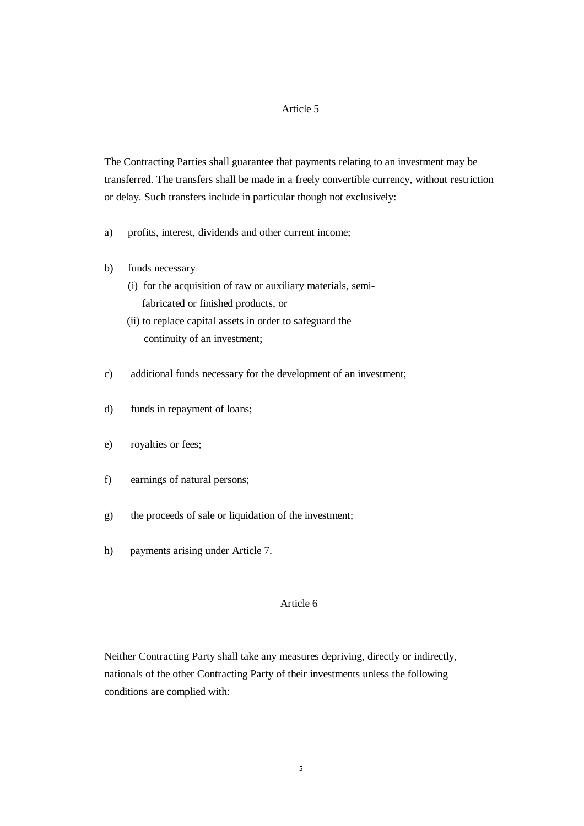The Contracting Parties shall guarantee that payments relating to an investment may be transferred. The transfers shall be made in a freely convertible currency, without restriction or delay. Such transfers include in particular though not exclusively:

- a) profits, interest, dividends and other current income;
- b) funds necessary
	- (i) for the acquisition of raw or auxiliary materials, semi fabricated or finished products, or
	- (ii) to replace capital assets in order to safeguard the continuity of an investment;
- c) additional funds necessary for the development of an investment;
- d) funds in repayment of loans;
- e) royalties or fees;
- f) earnings of natural persons;
- g) the proceeds of sale or liquidation of the investment;
- h) payments arising under Article 7.

#### Article 6

Neither Contracting Party shall take any measures depriving, directly or indirectly, nationals of the other Contracting Party of their investments unless the following conditions are complied with: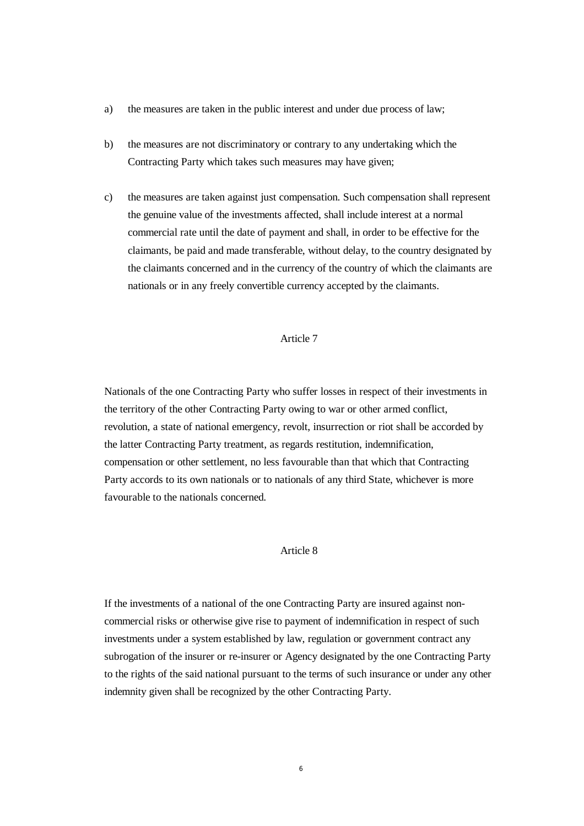- a) the measures are taken in the public interest and under due process of law;
- b) the measures are not discriminatory or contrary to any undertaking which the Contracting Party which takes such measures may have given;
- c) the measures are taken against just compensation. Such compensation shall represent the genuine value of the investments affected, shall include interest at a normal commercial rate until the date of payment and shall, in order to be effective for the claimants, be paid and made transferable, without delay, to the country designated by the claimants concerned and in the currency of the country of which the claimants are nationals or in any freely convertible currency accepted by the claimants.

Nationals of the one Contracting Party who suffer losses in respect of their investments in the territory of the other Contracting Party owing to war or other armed conflict, revolution, a state of national emergency, revolt, insurrection or riot shall be accorded by the latter Contracting Party treatment, as regards restitution, indemnification, compensation or other settlement, no less favourable than that which that Contracting Party accords to its own nationals or to nationals of any third State, whichever is more favourable to the nationals concerned.

#### Article 8

If the investments of a national of the one Contracting Party are insured against noncommercial risks or otherwise give rise to payment of indemnification in respect of such investments under a system established by law, regulation or government contract any subrogation of the insurer or re-insurer or Agency designated by the one Contracting Party to the rights of the said national pursuant to the terms of such insurance or under any other indemnity given shall be recognized by the other Contracting Party.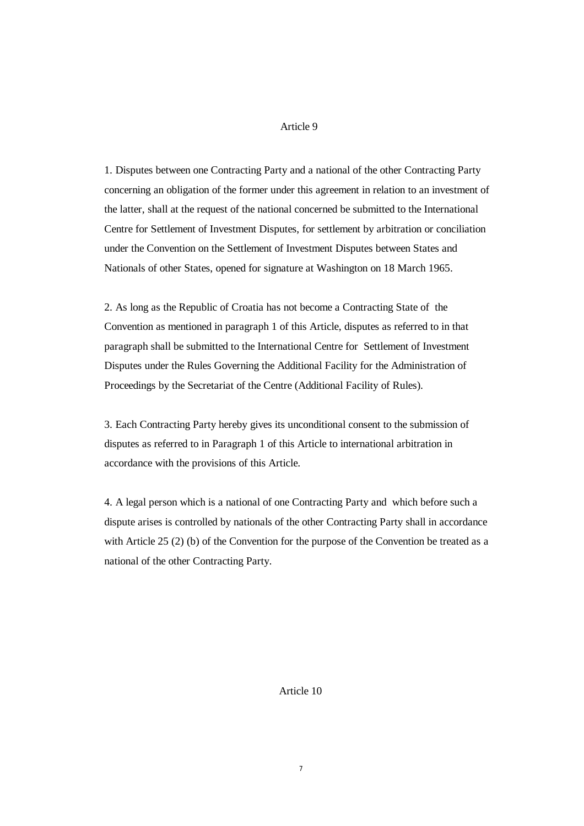1. Disputes between one Contracting Party and a national of the other Contracting Party concerning an obligation of the former under this agreement in relation to an investment of the latter, shall at the request of the national concerned be submitted to the International Centre for Settlement of Investment Disputes, for settlement by arbitration or conciliation under the Convention on the Settlement of Investment Disputes between States and Nationals of other States, opened for signature at Washington on 18 March 1965.

2. As long as the Republic of Croatia has not become a Contracting State of the Convention as mentioned in paragraph 1 of this Article, disputes as referred to in that paragraph shall be submitted to the International Centre for Settlement of Investment Disputes under the Rules Governing the Additional Facility for the Administration of Proceedings by the Secretariat of the Centre (Additional Facility of Rules).

3. Each Contracting Party hereby gives its unconditional consent to the submission of disputes as referred to in Paragraph 1 of this Article to international arbitration in accordance with the provisions of this Article.

4. A legal person which is a national of one Contracting Party and which before such a dispute arises is controlled by nationals of the other Contracting Party shall in accordance with Article 25 (2) (b) of the Convention for the purpose of the Convention be treated as a national of the other Contracting Party.

Article 10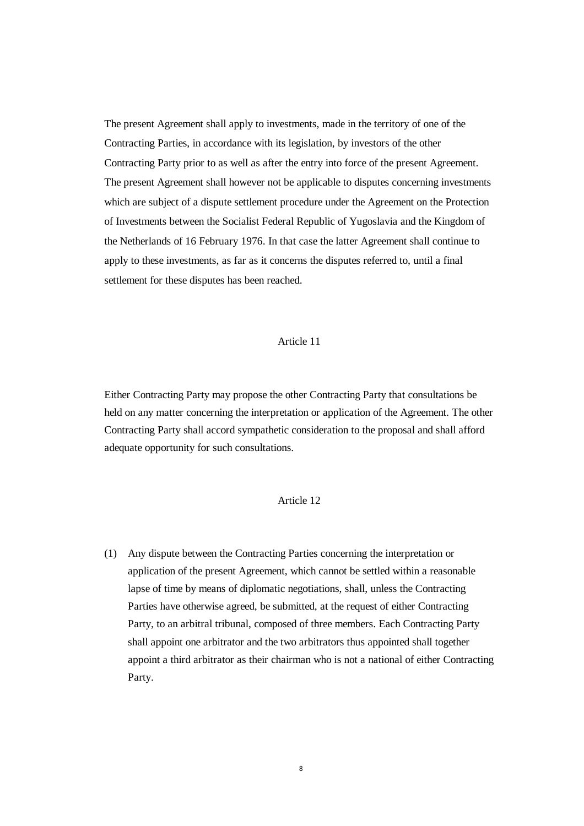The present Agreement shall apply to investments, made in the territory of one of the Contracting Parties, in accordance with its legislation, by investors of the other Contracting Party prior to as well as after the entry into force of the present Agreement. The present Agreement shall however not be applicable to disputes concerning investments which are subject of a dispute settlement procedure under the Agreement on the Protection of Investments between the Socialist Federal Republic of Yugoslavia and the Kingdom of the Netherlands of 16 February 1976. In that case the latter Agreement shall continue to apply to these investments, as far as it concerns the disputes referred to, until a final settlement for these disputes has been reached.

## Article 11

Either Contracting Party may propose the other Contracting Party that consultations be held on any matter concerning the interpretation or application of the Agreement. The other Contracting Party shall accord sympathetic consideration to the proposal and shall afford adequate opportunity for such consultations.

# Article 12

(1) Any dispute between the Contracting Parties concerning the interpretation or application of the present Agreement, which cannot be settled within a reasonable lapse of time by means of diplomatic negotiations, shall, unless the Contracting Parties have otherwise agreed, be submitted, at the request of either Contracting Party, to an arbitral tribunal, composed of three members. Each Contracting Party shall appoint one arbitrator and the two arbitrators thus appointed shall together appoint a third arbitrator as their chairman who is not a national of either Contracting Party.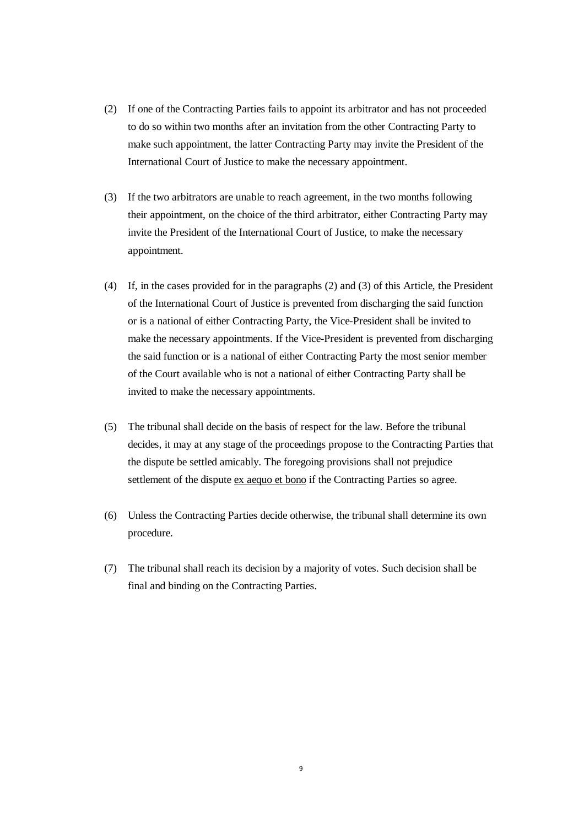- (2) If one of the Contracting Parties fails to appoint its arbitrator and has not proceeded to do so within two months after an invitation from the other Contracting Party to make such appointment, the latter Contracting Party may invite the President of the International Court of Justice to make the necessary appointment.
- (3) If the two arbitrators are unable to reach agreement, in the two months following their appointment, on the choice of the third arbitrator, either Contracting Party may invite the President of the International Court of Justice, to make the necessary appointment.
- (4) If, in the cases provided for in the paragraphs (2) and (3) of this Article, the President of the International Court of Justice is prevented from discharging the said function or is a national of either Contracting Party, the Vice-President shall be invited to make the necessary appointments. If the Vice-President is prevented from discharging the said function or is a national of either Contracting Party the most senior member of the Court available who is not a national of either Contracting Party shall be invited to make the necessary appointments.
- (5) The tribunal shall decide on the basis of respect for the law. Before the tribunal decides, it may at any stage of the proceedings propose to the Contracting Parties that the dispute be settled amicably. The foregoing provisions shall not prejudice settlement of the dispute ex aequo et bono if the Contracting Parties so agree.
- (6) Unless the Contracting Parties decide otherwise, the tribunal shall determine its own procedure.
- (7) The tribunal shall reach its decision by a majority of votes. Such decision shall be final and binding on the Contracting Parties.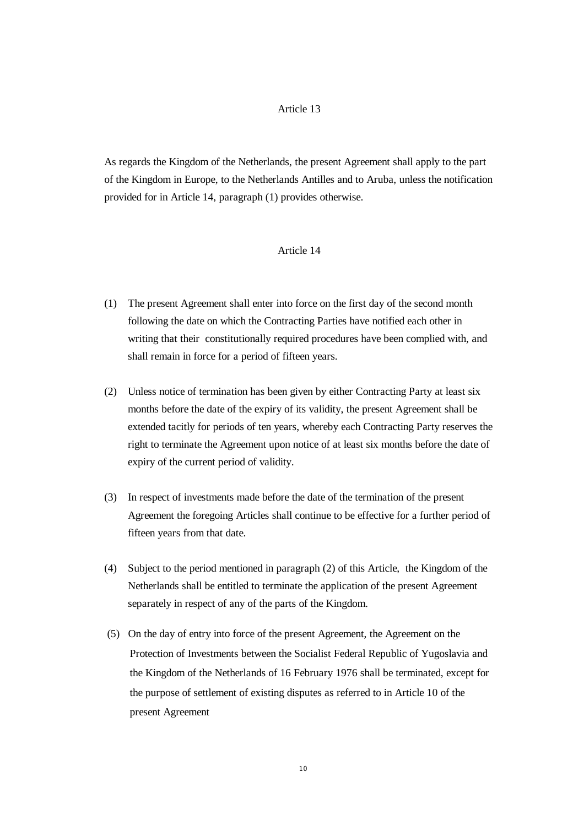As regards the Kingdom of the Netherlands, the present Agreement shall apply to the part of the Kingdom in Europe, to the Netherlands Antilles and to Aruba, unless the notification provided for in Article 14, paragraph (1) provides otherwise.

#### Article 14

- (1) The present Agreement shall enter into force on the first day of the second month following the date on which the Contracting Parties have notified each other in writing that their constitutionally required procedures have been complied with, and shall remain in force for a period of fifteen years.
- (2) Unless notice of termination has been given by either Contracting Party at least six months before the date of the expiry of its validity, the present Agreement shall be extended tacitly for periods of ten years, whereby each Contracting Party reserves the right to terminate the Agreement upon notice of at least six months before the date of expiry of the current period of validity.
- (3) In respect of investments made before the date of the termination of the present Agreement the foregoing Articles shall continue to be effective for a further period of fifteen years from that date.
- (4) Subject to the period mentioned in paragraph (2) of this Article, the Kingdom of the Netherlands shall be entitled to terminate the application of the present Agreement separately in respect of any of the parts of the Kingdom.
- (5) On the day of entry into force of the present Agreement, the Agreement on the Protection of Investments between the Socialist Federal Republic of Yugoslavia and the Kingdom of the Netherlands of 16 February 1976 shall be terminated, except for the purpose of settlement of existing disputes as referred to in Article 10 of the present Agreement